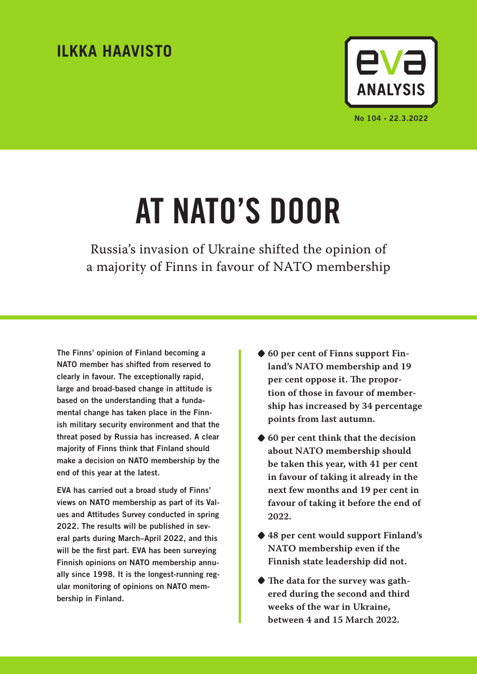# **ILKKA HAAVISTO**



# AT NATO'S DOOR

Russia's invasion of Ukraine shifted the opinion of a majority of Finns in favour of NATO membership

The Finns' opinion of Finland becoming a NATO member has shifted from reserved to clearly in favour. The exceptionally rapid, large and broad-based change in attitude is based on the understanding that a fundamental change has taken place in the Finnish military security environment and that the threat posed by Russia has increased. A clear majority of Finns think that Finland should make a decision on NATO membership by the end of this year at the latest.

EVA has carried out a broad study of Finns' views on NATO membership as part of its Values and Attitudes Survey conducted in spring 2022. The results will be published in several parts during March–April 2022, and this will be the first part. EVA has been surveying Finnish opinions on NATO membership annually since 1998. It is the longest-running regular monitoring of opinions on NATO membership in Finland.

- **•60 per cent of Finns support Finland's NATO membership and 19 per cent oppose it. The proportion of those in favour of membership has increased by 34 percentage points from last autumn.**
- **•60 per cent think that the decision about NATO membership should be taken this year, with 41 per cent in favour of taking it already in the next few months and 19 per cent in favour of taking it before the end of 2022.**
- **•48 per cent would support Finland's NATO membership even if the Finnish state leadership did not.**
- **•The data for the survey was gathered during the second and third weeks of the war in Ukraine, between 4 and 15 March 2022.**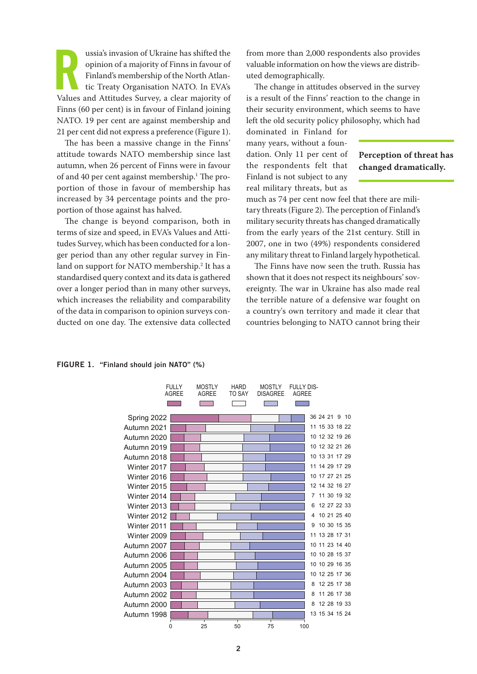ussia's invasion of Ukraine has shifted the opinion of a majority of Finns in favour of Finland's membership of the North Atlantic Treaty Organisation NATO. In EVA's Values and Attitudes Survey, a clear majority of ussia's invasion of Ukraine has shifted the opinion of a majority of Finns in favour of Finland's membership of the North Atlantic Treaty Organisation NATO. In EVA's Finns (60 per cent) is in favour of Finland joining NATO. 19 per cent are against membership and 21 per cent did not express a preference (Figure 1).

The has been a massive change in the Finns' attitude towards NATO membership since last autumn, when 26 percent of Finns were in favour of and 40 per cent against membership.<sup>1</sup> The proportion of those in favour of membership has increased by 34 percentage points and the proportion of those against has halved.

The change is beyond comparison, both in terms of size and speed, in EVA's Values and Attitudes Survey, which has been conducted for a longer period than any other regular survey in Finland on support for NATO membership.2 It has a  $\operatorname*{standardised}$  query context and its data is gathered  $\qquad$  sh over a longer period than in many other surveys, which increases the reliability and comparability of the data in comparison to opinion surveys conducted on one day. The extensive data collected countries bel

from more than 2,000 respondents also provides valuable information on how the views are distributed demographically.

The change in attitudes observed in the survey is a result of the Finns' reaction to the change in their security environment, which seems to have left the old security policy philosophy, which had

dominated in Finland for many years, without a foundation. Only 11 per cent of the respondents felt that Finland is not subject to any real military threats, but as

### **Perception of threat has changed dramatically.**

much as 74 per cent now feel that there are military threats (Figure 2). The perception of Finland's military security threats has changed dramatically from the early years of the 21st century. Still in ducted for a lon-  $\,$  2007, one in two (49%) respondents considered any military threat to Finland largely hypothetical.

> The Finns have now seen the truth. Russia has shown that it does not respect its neighbours' sovereignty. The war in Ukraine has also made real the terrible nature of a defensive war fought on a country's own territory and made it clear that countries belonging to NATO cannot bring their

# FIGURE 1. "Finland should join NATO" (%)

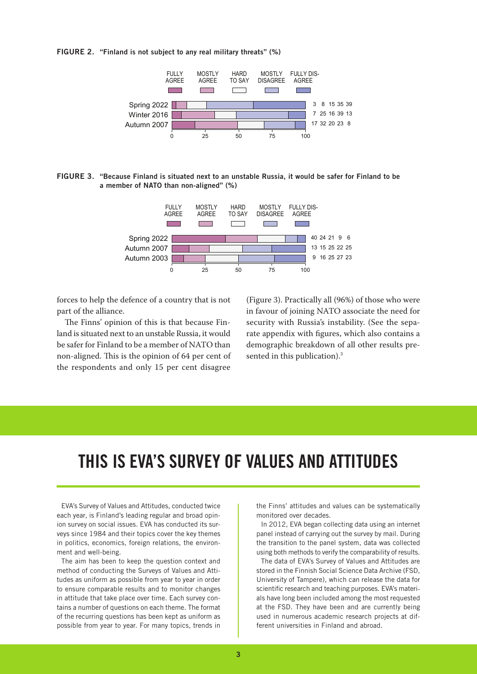FIGURE 2. "Finland is not subject to any real military threats" (%)



FIGURE 3. "Because Finland is situated next to an unstable Russia, it would be safer for Finland to be a member of NATO than non-aligned" (%)



forces to help the defence of a country that is not part of the alliance.

The Finns' opinion of this is that because Finland is situated next to an unstable Russia, it would be safer for Finland to be a member of NATO than non-aligned. This is the opinion of 64 per cent of the respondents and only 15 per cent disagree

(Figure 3). Practically all (96%) of those who were in favour of joining NATO associate the need for security with Russia's instability. (See the separate appendix with figures, which also contains a demographic breakdown of all other results presented in this publication).<sup>3</sup>

# THIS IS EVA'S SURVEY OF VALUES AND ATTITUDES

EVA's Survey of Values and Attitudes, conducted twice each year, is Finland's leading regular and broad opinion survey on social issues. EVA has conducted its surveys since 1984 and their topics cover the key themes in politics, economics, foreign relations, the environment and well-being.

The aim has been to keep the question context and method of conducting the Surveys of Values and Attitudes as uniform as possible from year to year in order to ensure comparable results and to monitor changes in attitude that take place over time. Each survey contains a number of questions on each theme. The format of the recurring questions has been kept as uniform as possible from year to year. For many topics, trends in the Finns' attitudes and values can be systematically monitored over decades.

In 2012, EVA began collecting data using an internet panel instead of carrying out the survey by mail. During the transition to the panel system, data was collected using both methods to verify the comparability of results.

The data of EVA's Survey of Values and Attitudes are stored in the Finnish Social Science Data Archive (FSD, University of Tampere), which can release the data for scientific research and teaching purposes. EVA's materials have long been included among the most requested at the FSD. They have been and are currently being used in numerous academic research projects at different universities in Finland and abroad.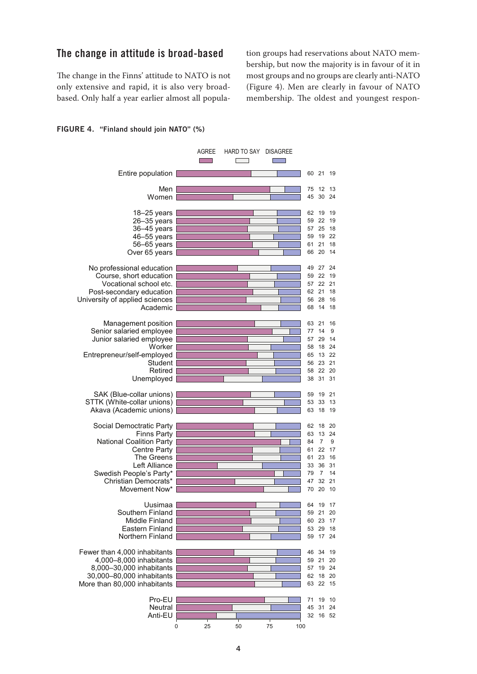# The change in attitude is broad-based

The change in the Finns' attitude to NATO is not most group. only extensive and rapid, it is also very broadbased. Only half a year earlier almost all popula- m

tion groups had reservations about NATO membership, but now the majority is in favour of it in most groups and no groups are clearly anti-NATO (Figure 4). Men are clearly in favour of NATO membership. The oldest and youngest respon-

#### FIGURE 4. "Finland should join NATO" (%) "Finland should join NATO" (%).

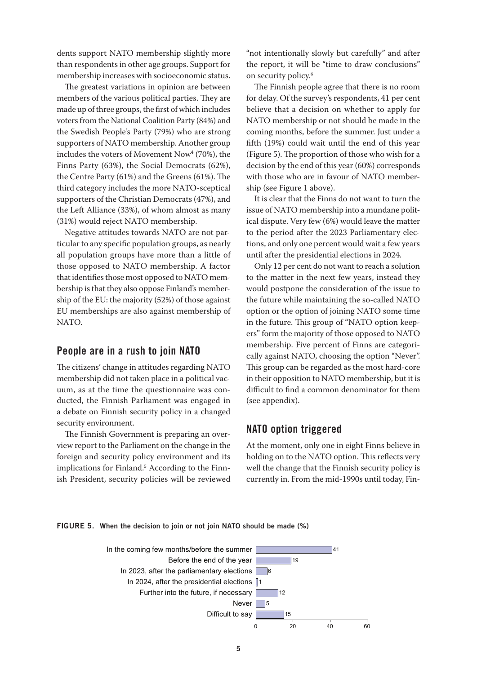dents support NATO membership slightly more than respondents in other age groups. Support for membership increases with socioeconomic status.

The greatest variations in opinion are between members of the various political parties. They are made up of three groups, the first of which includes voters from the National Coalition Party (84%) and the Swedish People's Party (79%) who are strong supporters of NATO membership. Another group includes the voters of Movement  $\text{Now}^4$  (70%), the Finns Party (63%), the Social Democrats (62%), the Centre Party (61%) and the Greens (61%). The third category includes the more NATO-sceptical supporters of the Christian Democrats (47%), and the Left Alliance (33%), of whom almost as many (31%) would reject NATO membership.

Negative attitudes towards NATO are not particular to any specific population groups, as nearly all population groups have more than a little of those opposed to NATO membership. A factor that identifies those most opposed to NATO membership is that they also oppose Finland's membership of the EU: the majority (52%) of those against EU memberships are also against membership of NATO.

# People are in a rush to join NATO

The citizens' change in attitudes regarding NATO membership did not taken place in a political vacuum, as at the time the questionnaire was conducted, the Finnish Parliament was engaged in a debate on Finnish security policy in a changed security environment.  $\frac{1}{1}$  (see

The Finnish Government is preparing an overview report to the Parliament on the change in the foreign and security policy environment and its implications for Finland.<sup>5</sup> According to the Finnish President, security policies will be reviewed raign and security policy environment and its holding on t

"not intentionally slowly but carefully" and after the report, it will be "time to draw conclusions" on security policy.6

The Finnish people agree that there is no room for delay. Of the survey's respondents, 41 per cent believe that a decision on whether to apply for NATO membership or not should be made in the coming months, before the summer. Just under a fifth (19%) could wait until the end of this year (Figure 5). The proportion of those who wish for a decision by the end of this year (60%) corresponds with those who are in favour of NATO membership (see Figure 1 above).

It is clear that the Finns do not want to turn the issue of NATO membership into a mundane political dispute. Very few (6%) would leave the matter to the period after the 2023 Parliamentary elections, and only one percent would wait a few years until after the presidential elections in 2024.

Only 12 per cent do not want to reach a solution to the matter in the next few years, instead they would postpone the consideration of the issue to the future while maintaining the so-called NATO option or the option of joining NATO some time in the future. This group of "NATO option keepers" form the majority of those opposed to NATO membership. Five percent of Finns are categorically against NATO, choosing the option "Never". This group can be regarded as the most hard-core in their opposition to NATO membership, but it is difficult to find a common denominator for them (see appendix).  $\mathbf{C}$  ,  $\mathbf{D}$  ,  $\mathbf{D}$ 

# NATO option triggered

ent on the change in the At the moment, only one in eight Finns believe in y environment and its holding on to the NATO option. This reflects very well the change that the Finnish security policy is currently in. From the mid-1990s until today, Fin-

FIGURE 5. When the decision to join or not join NATO should be made (%)

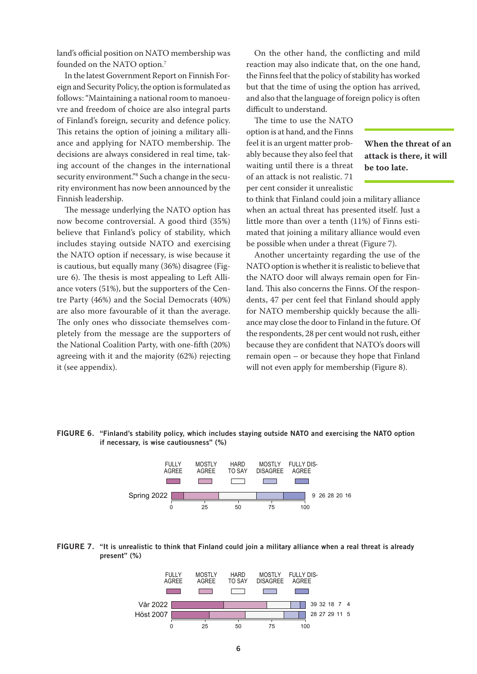land's official position on NATO membership was founded on the NATO option.7

In the latest Government Report on Finnish Foreign and Security Policy, the option is formulated as follows: "Maintaining a national room to manoeuvre and freedom of choice are also integral parts of Finland's foreign, security and defence policy. This retains the option of joining a military alliance and applying for NATO membership. The decisions are always considered in real time, taking account of the changes in the international security environment."8 Such a change in the security environment has now been announced by the Finnish leadership.

The message underlying the NATO option has now become controversial. A good third (35%) believe that Finland's policy of stability, which heated that joining a mil includes staying outside NATO and exercising the NATO option if necessary, is wise because it is cautious, but equally many (36%) disagree (Figure 6). The thesis is most appealing to Left Alliance voters (51%), but the supporters of the Centre Party (46%) and the Social Democrats (40%) are also more favourable of it than the average. The only ones who dissociate themselves completely from the message are the supporters of the National Coalition Party, with one-fifth (20%) agreeing with it and the majority (62%) rejecting it (see appendix).

On the other hand, the conflicting and mild reaction may also indicate that, on the one hand, the Finns feel that the policy of stability has worked but that the time of using the option has arrived, and also that the language of foreign policy is often difficult to understand.

The time to use the NATO option is at hand, and the Finns feel it is an urgent matter probably because they also feel that waiting until there is a threat of an attack is not realistic. 71 per cent consider it unrealistic

**When the threat of an attack is there, it will be too late.**

to think that Finland could join a military alliance when an actual threat has presented itself. Just a little more than over a tenth (11%) of Finns estimated that joining a military alliance would even nd exercising be possible when under a threat (Figure 7).

Another uncertainty regarding the use of the NATO option is whether it is realistic to believe that the NATO door will always remain open for Finn- land. This also concerns the Finns. Of the respondents, 47 per cent feel that Finland should apply for NATO membership quickly because the alliance may close the door to Finland in the future. Of the respondents, 28 per cent would not rush, either ty, with one-fifth (20%) because they are confident that NATO's doors will  $\sigma$  (62%) rejecting remain open – or because they hope that Finland will not even apply for membership (Figure 8).  $N$ , with one men  $(20\%)$  because they are connuent in

#### FIGURE 6. "Finland's stability policy, which includes staying outside NATO and exercising the NATO option if necessary, is wise cautiousness" (%)





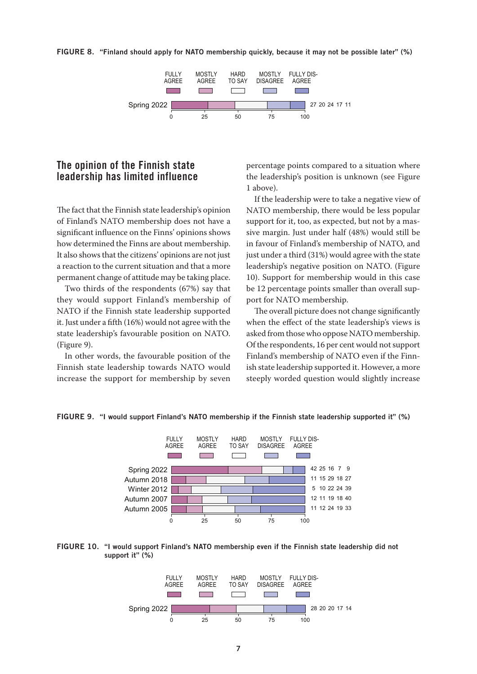#### FIGURE 8. "Finland should apply for NATO membership quickly, because it may not be possible later" (%)



# The opinion of the Finnish state leadership has limited influence

The fact that the Finnish state leadership's opinion of Finland's NATO membership does not have a significant influence on the Finns' opinions shows how determined the Finns are about membership. It also shows that the citizens' opinions are not just a reaction to the current situation and that a more permanent change of attitude may be taking place.

Two thirds of the respondents (67%) say that they would support Finland's membership of po NATO if the Finnish state leadership supported it. Just under a fifth (16%) would not agree with the state leadership's favourable position on NATO. (Figure 9).

In other words, the favourable position of the Finland's members. Finnish state leadership towards NATO would increase the support for membership by seven stee

percentage points compared to a situation where the leadership's position is unknown (see Figure 1 above).

If the leadership were to take a negative view of NATO membership, there would be less popular support for it, too, as expected, but not by a massive margin. Just under half (48%) would still be out membership. in favour of Finland's membership of NATO, and method of the state interest contract the state positions are not just under a third (31%) would agree with the state leadership's negative position on NATO. (Figure 10). Support for membership would in this case be 12 percentage points smaller than overall support for NATO membership.

The overall picture does not change significantly when the effect of the state leadership's views is asked from those who oppose NATO membership. Of the respondents, 16 per cent would not support sition of the Finland's membership of NATO even if the Finniip towards NATO would ish state leadership supported it. However, a more steeply worded question would slightly increase



FIGURE 9. "I would support Finland's NATO membership if the Finnish state leadership supported it" (%)



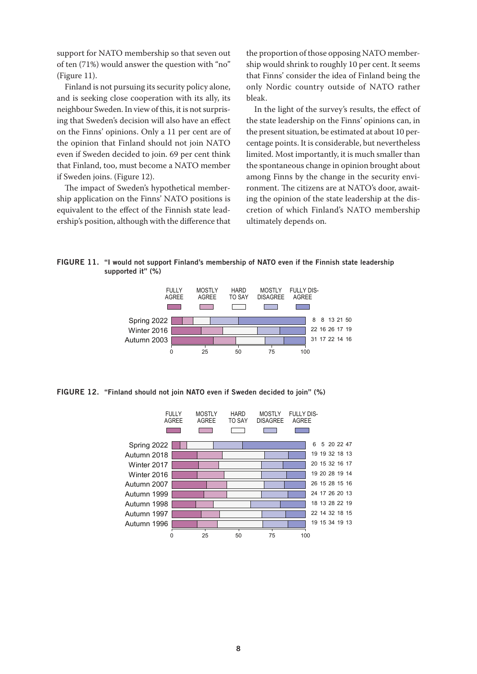support for NATO membership so that seven out of ten (71%) would answer the question with "no" (Figure 11).

Finland is not pursuing its security policy alone, and is seeking close cooperation with its ally, its neighbour Sweden. In view of this, it is not surprising that Sweden's decision will also have an effect on the Finns' opinions. Only a 11 per cent are of the opinion that Finland should not join NATO even if Sweden decided to join. 69 per cent think that Finland, too, must become a NATO member if Sweden joins. (Figure 12).

The impact of Sweden's hypothetical membership application on the Finns' NATO positions is ing the opinion of t equivalent to the effect of the Finnish state leadership's position, although with the difference that

the proportion of those opposing NATO membership would shrink to roughly 10 per cent. It seems that Finns' consider the idea of Finland being the ty policy alone, only Nordic country outside of NATO rather bleak.

In the light of the survey's results, the effect of the state leadership on the Finns' opinions can, in of the present situation, be estimated at about 10 percentage points. It is considerable, but nevertheless limited. Most importantly, it is much smaller than the spontaneous change in opinion brought about among Finns by the change in the security envii's hypothetical member-<br>
ronment. The citizens are at NATO's door, awaiting the opinion of the state leadership at the discretion of which Finland's NATO membership difference that ultimately depends on.

FIGURE 11. "I would not support Finland's membership of NATO even if the Finnish state leadership supported it" (%)



FIGURE 12. "Finland should not join NATO even if Sweden decided to join" (%)

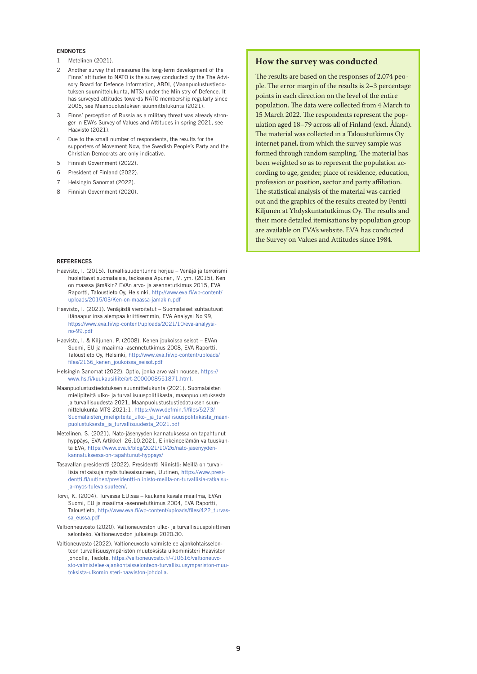#### ENDNOTES

- 1 Metelinen (2021).
- 2 Another survey that measures the long-term development of the Finns' attitudes to NATO is the survey conducted by the The Advisory Board for Defence Information, ABDI, (Maanpuolustustiedotuksen suunnittelukunta, MTS) under the Ministry of Defence. It has surveyed attitudes towards NATO membership regularly since 2005, see Maanpuolustuksen suunnittelukunta (2021).
- 3 Finns' perception of Russia as a military threat was already stronger in EVA's Survey of Values and Attitudes in spring 2021, see Haavisto (2021).
- Due to the small number of respondents, the results for the supporters of Movement Now, the Swedish People's Party and the Christian Democrats are only indicative.
- 5 Finnish Government (2022).
- 6 President of Finland (2022).
- 7 Helsingin Sanomat (2022).
- 8 Finnish Government (2020).

#### *<u>DEFEDENCES</u>*

- Haavisto, I. (2015). Turvallisuudentunne horjuu Venäjä ja terrorismi huolettavat suomalaisia, teoksessa Apunen, M. ym. (2015), Ken on maassa jämäkin? EVAn arvo- ja asennetutkimus 2015, EVA [Raportti, Taloustieto Oy, Helsinki, http://www.eva.fi/wp-content/](http://www.eva.fi/wp-content/uploads/2015/03/Ken-on-maassa-jamakin.pdf) uploads/2015/03/Ken-on-maassa-jamakin.pdf
- Haavisto, I. (2021). Venäjästä vieroitetut Suomalaiset suhtautuvat itänaapuriinsa aiempaa kriittisemmin, EVA Analyysi No 99, [https://www.eva.fi/wp-content/uploads/2021/10/eva-analyysi](https://www.eva.fi/wp-content/uploads/2021/10/eva-analyysi-no-99.pdf)no-99.pdf
- Haavisto, I. & Kiljunen, P. (2008). Kenen joukoissa seisot EVAn Suomi, EU ja maailma -asennetutkimus 2008, EVA Raportti, [Taloustieto Oy, Helsinki, http://www.eva.fi/wp-content/uploads/](http://www.eva.fi/wp-content/uploads/files/2166_kenen_joukoissa_seisot.pdf) files/2166\_kenen\_joukoissa\_seisot.pdf
- Hel[singin Sanomat \(2022\). Optio, jonka arvo vain nousee, https://](https://www.hs.fi/kuukausiliite/art-2000008551871.html) www.hs.fi/kuukausiliite/art-2000008551871.html.
- Maanpuolustustiedotuksen suunnittelukunta (2021). Suomalaisten mielipiteitä ulko- ja turvallisuuspolitiikasta, maanpuolustuksesta ja turvallisuudesta 2021, Maanpuolustustustiedotuksen suunnittelukunta MTS 2021:1, https://www.defmin.fi/files/5273/ [Suomalaisten\\_mielipiteita\\_ulko-\\_ja\\_turvallisuuspolitiikasta\\_maan](https://www.defmin.fi/files/5273/Suomalaisten_mielipiteita_ulko-_ja_turvallisuuspolitiikasta_maanpuolustuksesta_ja_turvallisuudesta_2021.pdf)puolustuksesta\_ja\_turvallisuudesta\_2021.pdf
- Metelinen, S. (2021). Nato-jäsenyyden kannatuksessa on tapahtunut hyppäys, EVA Artikkeli 26.10.2021, Elinkeinoelämän valtuuskun[ta EVA, https://www.eva.fi/blog/2021/10/26/nato-jasenyyden](https://www.eva.fi/blog/2021/10/26/nato-jasenyyden-kannatuksessa-on-tapahtunut-hyppays/)kannatuksessa-on-tapahtunut-hyppays/
- Tasavallan presidentti (2022). Presidentti Niinistö: Meillä on turvallisia ratkaisuja myös tulevaisuuteen, Uutinen, https://www.presi[dentti.fi/uutinen/presidentti-niinisto-meilla-on-turvallisia-ratkaisu](https://www.presidentti.fi/uutinen/presidentti-niinisto-meilla-on-turvallisia-ratkaisuja-myos-tulevaisuuteen/)ja-myos-tulevaisuuteen/.
- Torvi, K. (2004). Turvassa EU:ssa kaukana kavala maailma, EVAn Suomi, EU ja maailma -asennetutkimus 2004, EVA Raportti, [Taloustieto, http://www.eva.fi/wp-content/uploads/files/422\\_turvas](http://www.eva.fi/wp-content/uploads/files/422_turvassa_eussa.pdf)sa\_eussa.pdf
- Valtionneuvosto (2020). Valtioneuvoston ulko- ja turvallisuuspoliittinen selonteko, Valtioneuvoston julkaisuja 2020:30.
- Valtioneuvosto (2022). Valtioneuvosto valmistelee ajankohtaisselonteon turvallisuusympäristön muutoksista ulkoministeri Haaviston johdolla, Tiedote, https://valtioneuvosto.fi/-/10616/valtioneuvo[sto-valmistelee-ajankohtaisselonteon-turvallisuusympariston-muu](https://valtioneuvosto.fi/-/10616/valtioneuvosto-valmistelee-ajankohtaisselonteon-turvallisuusympariston-muutoksista-ulkoministeri-haaviston-johdolla)toksista-ulkoministeri-haaviston-johdolla.

#### **How the survey was conducted**

The results are based on the responses of 2,074 people. The error margin of the results is 2–3 percentage points in each direction on the level of the entire population. The data were collected from 4 March to 15 March 2022. The respondents represent the population aged 18–79 across all of Finland (excl. Åland). The material was collected in a Taloustutkimus Oy internet panel, from which the survey sample was formed through random sampling. The material has been weighted so as to represent the population according to age, gender, place of residence, education, profession or position, sector and party affiliation. The statistical analysis of the material was carried out and the graphics of the results created by Pentti Kiljunen at Yhdyskuntatutkimus Oy. The results and their more detailed itemisations by population group are available on EVA's website. EVA has conducted the Survey on Values and Attitudes since 1984.